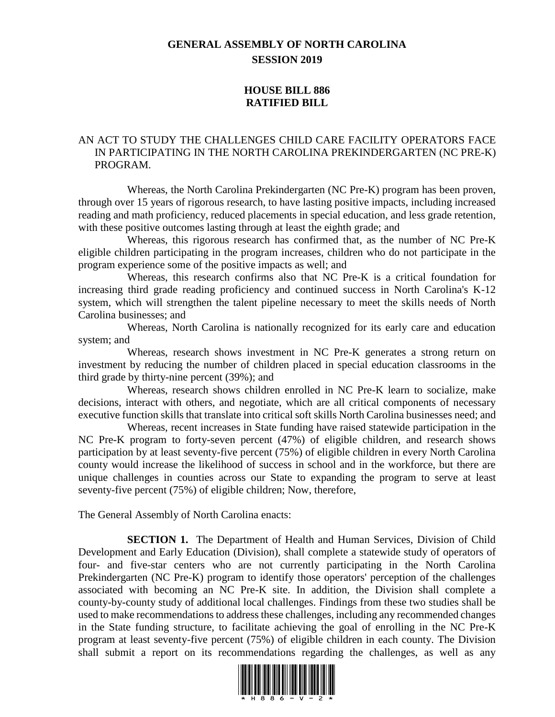## **GENERAL ASSEMBLY OF NORTH CAROLINA SESSION 2019**

## **HOUSE BILL 886 RATIFIED BILL**

## AN ACT TO STUDY THE CHALLENGES CHILD CARE FACILITY OPERATORS FACE IN PARTICIPATING IN THE NORTH CAROLINA PREKINDERGARTEN (NC PRE-K) PROGRAM.

Whereas, the North Carolina Prekindergarten (NC Pre-K) program has been proven, through over 15 years of rigorous research, to have lasting positive impacts, including increased reading and math proficiency, reduced placements in special education, and less grade retention, with these positive outcomes lasting through at least the eighth grade; and

Whereas, this rigorous research has confirmed that, as the number of NC Pre-K eligible children participating in the program increases, children who do not participate in the program experience some of the positive impacts as well; and

Whereas, this research confirms also that NC Pre-K is a critical foundation for increasing third grade reading proficiency and continued success in North Carolina's K-12 system, which will strengthen the talent pipeline necessary to meet the skills needs of North Carolina businesses; and

Whereas, North Carolina is nationally recognized for its early care and education system; and

Whereas, research shows investment in NC Pre-K generates a strong return on investment by reducing the number of children placed in special education classrooms in the third grade by thirty-nine percent (39%); and

Whereas, research shows children enrolled in NC Pre-K learn to socialize, make decisions, interact with others, and negotiate, which are all critical components of necessary executive function skills that translate into critical soft skills North Carolina businesses need; and

Whereas, recent increases in State funding have raised statewide participation in the NC Pre-K program to forty-seven percent (47%) of eligible children, and research shows participation by at least seventy-five percent (75%) of eligible children in every North Carolina county would increase the likelihood of success in school and in the workforce, but there are unique challenges in counties across our State to expanding the program to serve at least seventy-five percent (75%) of eligible children; Now, therefore,

The General Assembly of North Carolina enacts:

**SECTION 1.** The Department of Health and Human Services, Division of Child Development and Early Education (Division), shall complete a statewide study of operators of four- and five-star centers who are not currently participating in the North Carolina Prekindergarten (NC Pre-K) program to identify those operators' perception of the challenges associated with becoming an NC Pre-K site. In addition, the Division shall complete a county-by-county study of additional local challenges. Findings from these two studies shall be used to make recommendations to address these challenges, including any recommended changes in the State funding structure, to facilitate achieving the goal of enrolling in the NC Pre-K program at least seventy-five percent (75%) of eligible children in each county. The Division shall submit a report on its recommendations regarding the challenges, as well as any